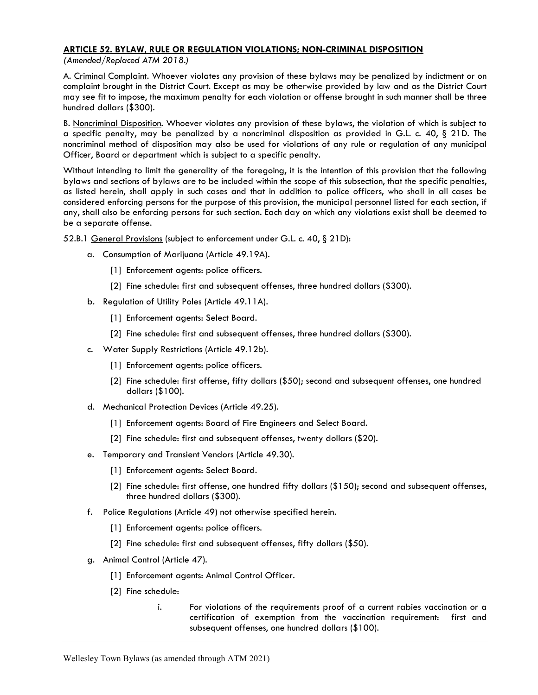## ARTICLE 52. BYLAW, RULE OR REGULATION VIOLATIONS; NON-CRIMINAL DISPOSITION

(Amended/Replaced ATM 2018.)

A. Criminal Complaint. Whoever violates any provision of these bylaws may be penalized by indictment or on complaint brought in the District Court. Except as may be otherwise provided by law and as the District Court may see fit to impose, the maximum penalty for each violation or offense brought in such manner shall be three hundred dollars (\$300).

B. Noncriminal Disposition. Whoever violates any provision of these bylaws, the violation of which is subject to a specific penalty, may be penalized by a noncriminal disposition as provided in G.L. c. 40,  $\S$  21D. The noncriminal method of disposition may also be used for violations of any rule or regulation of any municipal Officer, Board or department which is subject to a specific penalty.

Without intending to limit the generality of the foregoing, it is the intention of this provision that the following bylaws and sections of bylaws are to be included within the scope of this subsection, that the specific penalties, as listed herein, shall apply in such cases and that in addition to police officers, who shall in all cases be considered enforcing persons for the purpose of this provision, the municipal personnel listed for each section, if any, shall also be enforcing persons for such section. Each day on which any violations exist shall be deemed to be a separate offense.

52.B.1 General Provisions (subject to enforcement under G.L. c. 40, § 21D):

- a. Consumption of Marijuana (Article 49.19A).
	- [1] Enforcement agents: police officers.
	- [2] Fine schedule: first and subsequent offenses, three hundred dollars (\$300).
- b. Regulation of Utility Poles (Article 49.11A).
	- [1] Enforcement agents: Select Board.
	- [2] Fine schedule: first and subsequent offenses, three hundred dollars (\$300).
- c. Water Supply Restrictions (Article 49.12b).
	- [1] Enforcement agents: police officers.
	- [2] Fine schedule: first offense, fifty dollars (\$50); second and subsequent offenses, one hundred dollars (\$100).
- d. Mechanical Protection Devices (Article 49.25).
	- [1] Enforcement agents: Board of Fire Engineers and Select Board.
	- [2] Fine schedule: first and subsequent offenses, twenty dollars (\$20).
- e. Temporary and Transient Vendors (Article 49.30).
	- [1] Enforcement agents: Select Board.
	- [2] Fine schedule: first offense, one hundred fifty dollars (\$150); second and subsequent offenses, three hundred dollars (\$300).
- f. Police Regulations (Article 49) not otherwise specified herein.
	- [1] Enforcement agents: police officers.
	- [2] Fine schedule: first and subsequent offenses, fifty dollars (\$50).
- g. Animal Control (Article 47).
	- [1] Enforcement agents: Animal Control Officer.
	- [2] Fine schedule:
		- i. For violations of the requirements proof of a current rabies vaccination or a certification of exemption from the vaccination requirement: first and subsequent offenses, one hundred dollars (\$100).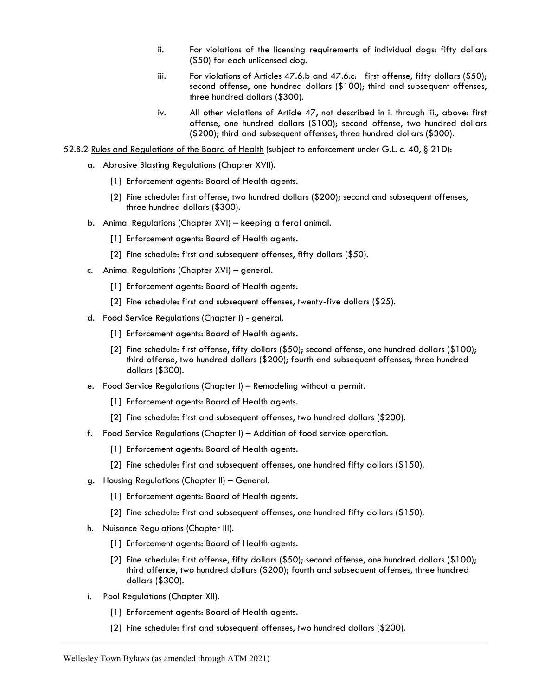- ii. For violations of the licensing requirements of individual dogs: fifty dollars (\$50) for each unlicensed dog.
- iii. For violations of Articles 47.6.b and 47.6.c: first offense, fifty dollars  $(\$50)$ ; second offense, one hundred dollars (\$100); third and subsequent offenses, three hundred dollars (\$300).
- iv. All other violations of Article 47, not described in i. through iii., above: first offense, one hundred dollars (\$100); second offense, two hundred dollars (\$200); third and subsequent offenses, three hundred dollars (\$300).
- 52.B.2 Rules and Regulations of the Board of Health (subject to enforcement under G.L. c. 40, § 21D):
	- a. Abrasive Blasting Regulations (Chapter XVII).
		- [1] Enforcement agents: Board of Health agents.
		- [2] Fine schedule: first offense, two hundred dollars (\$200); second and subsequent offenses, three hundred dollars (\$300).
	- b. Animal Regulations (Chapter XVI) keeping a feral animal.
		- [1] Enforcement agents: Board of Health agents.
		- [2] Fine schedule: first and subsequent offenses, fifty dollars (\$50).
	- c. Animal Regulations (Chapter XVI) general.
		- [1] Enforcement agents: Board of Health agents.
		- [2] Fine schedule: first and subsequent offenses, twenty-five dollars (\$25).
	- d. Food Service Regulations (Chapter I) general.
		- [1] Enforcement agents: Board of Health agents.
		- [2] Fine schedule: first offense, fifty dollars (\$50); second offense, one hundred dollars (\$100); third offense, two hundred dollars (\$200); fourth and subsequent offenses, three hundred dollars (\$300).
	- e. Food Service Regulations (Chapter I) Remodeling without a permit.
		- [1] Enforcement agents: Board of Health agents.
		- [2] Fine schedule: first and subsequent offenses, two hundred dollars (\$200).
	- f. Food Service Regulations (Chapter I) Addition of food service operation.
		- [1] Enforcement agents: Board of Health agents.
		- [2] Fine schedule: first and subsequent offenses, one hundred fifty dollars (\$150).
	- g. Housing Regulations (Chapter II) General.
		- [1] Enforcement agents: Board of Health agents.
		- [2] Fine schedule: first and subsequent offenses, one hundred fifty dollars (\$150).
	- h. Nuisance Regulations (Chapter III).
		- [1] Enforcement agents: Board of Health agents.
		- [2] Fine schedule: first offense, fifty dollars (\$50); second offense, one hundred dollars (\$100); third offence, two hundred dollars (\$200); fourth and subsequent offenses, three hundred dollars (\$300).
	- i. Pool Regulations (Chapter XII).
		- [1] Enforcement agents: Board of Health agents.
		- [2] Fine schedule: first and subsequent offenses, two hundred dollars (\$200).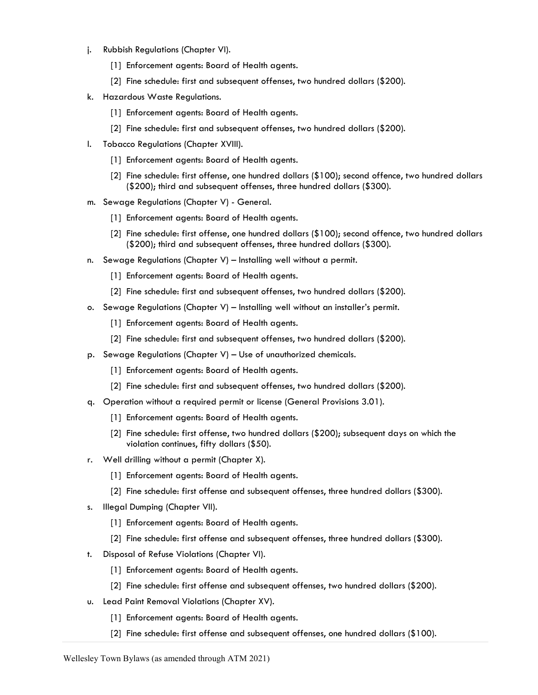- j. Rubbish Regulations (Chapter VI).
	- [1] Enforcement agents: Board of Health agents.
	- [2] Fine schedule: first and subsequent offenses, two hundred dollars (\$200).
- k. Hazardous Waste Regulations.
	- [1] Enforcement agents: Board of Health agents.
	- [2] Fine schedule: first and subsequent offenses, two hundred dollars (\$200).
- l. Tobacco Regulations (Chapter XVIII).
	- [1] Enforcement agents: Board of Health agents.
	- [2] Fine schedule: first offense, one hundred dollars (\$100); second offence, two hundred dollars (\$200); third and subsequent offenses, three hundred dollars (\$300).
- m. Sewage Regulations (Chapter V) General.
	- [1] Enforcement agents: Board of Health agents.
	- [2] Fine schedule: first offense, one hundred dollars (\$100); second offence, two hundred dollars (\$200); third and subsequent offenses, three hundred dollars (\$300).
- n. Sewage Regulations (Chapter V) Installing well without a permit.
	- [1] Enforcement agents: Board of Health agents.
	- [2] Fine schedule: first and subsequent offenses, two hundred dollars (\$200).
- o. Sewage Regulations (Chapter V) Installing well without an installer's permit.
	- [1] Enforcement agents: Board of Health agents.
	- [2] Fine schedule: first and subsequent offenses, two hundred dollars (\$200).
- p. Sewage Regulations (Chapter V) Use of unauthorized chemicals.
	- [1] Enforcement agents: Board of Health agents.
	- [2] Fine schedule: first and subsequent offenses, two hundred dollars (\$200).
- q. Operation without a required permit or license (General Provisions 3.01).
	- [1] Enforcement agents: Board of Health agents.
	- [2] Fine schedule: first offense, two hundred dollars (\$200); subsequent days on which the violation continues, fifty dollars (\$50).
- r. Well drilling without a permit (Chapter X).
	- [1] Enforcement agents: Board of Health agents.
	- [2] Fine schedule: first offense and subsequent offenses, three hundred dollars (\$300).
- s. Illegal Dumping (Chapter VII).
	- [1] Enforcement agents: Board of Health agents.
	- [2] Fine schedule: first offense and subsequent offenses, three hundred dollars (\$300).
- t. Disposal of Refuse Violations (Chapter VI).
	- [1] Enforcement agents: Board of Health agents.
	- [2] Fine schedule: first offense and subsequent offenses, two hundred dollars (\$200).
- u. Lead Paint Removal Violations (Chapter XV).
	- [1] Enforcement agents: Board of Health agents.
	- [2] Fine schedule: first offense and subsequent offenses, one hundred dollars (\$100).